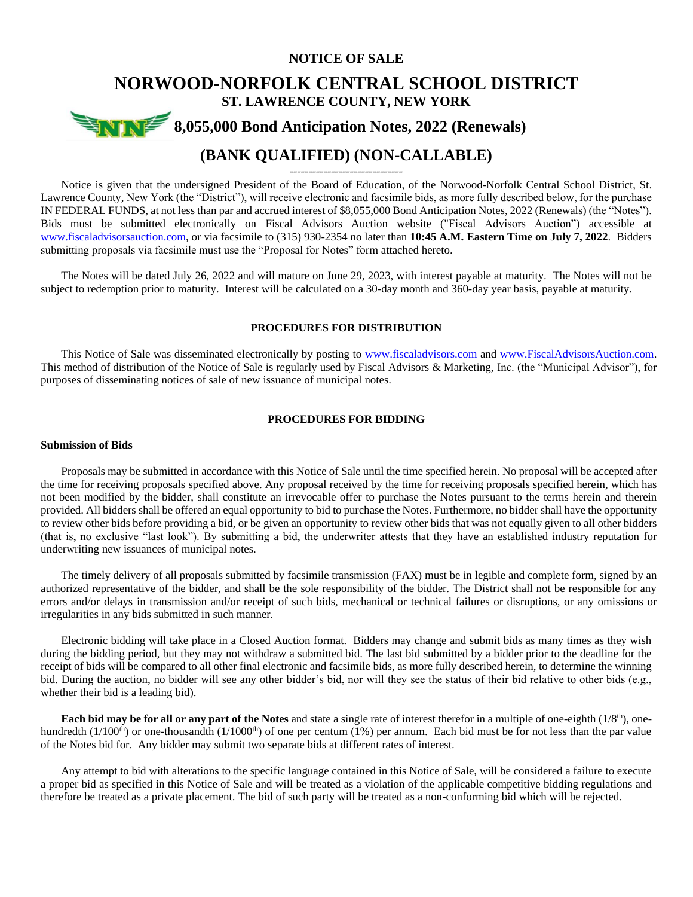# **NOTICE OF SALE NORWOOD-NORFOLK CENTRAL SCHOOL DISTRICT ST. LAWRENCE COUNTY, NEW YORK \$8,055,000 Bond Anticipation Notes, 2022 (Renewals) (BANK QUALIFIED) (NON-CALLABLE)**

------------------------------

Notice is given that the undersigned President of the Board of Education, of the Norwood-Norfolk Central School District, St. Lawrence County, New York (the "District"), will receive electronic and facsimile bids, as more fully described below, for the purchase IN FEDERAL FUNDS, at not less than par and accrued interest of \$8,055,000 Bond Anticipation Notes, 2022 (Renewals) (the "Notes"). Bids must be submitted electronically on Fiscal Advisors Auction website ("Fiscal Advisors Auction") accessible at [www.fiscaladvisorsauction.com,](http://www.fiscaladvisorsauction.com/) or via facsimile to (315) 930-2354 no later than **10:45 A.M. Eastern Time on July 7, 2022**. Bidders submitting proposals via facsimile must use the "Proposal for Notes" form attached hereto.

The Notes will be dated July 26, 2022 and will mature on June 29, 2023, with interest payable at maturity. The Notes will not be subject to redemption prior to maturity. Interest will be calculated on a 30-day month and 360-day year basis, payable at maturity.

### **PROCEDURES FOR DISTRIBUTION**

This Notice of Sale was disseminated electronically by posting to [www.fiscaladvisors.com](http://www.fiscaladvisors.com/) and [www.FiscalAdvisorsAuction.com.](http://www.fiscaladvisorsauction.com/) This method of distribution of the Notice of Sale is regularly used by Fiscal Advisors & Marketing, Inc. (the "Municipal Advisor"), for purposes of disseminating notices of sale of new issuance of municipal notes.

# **PROCEDURES FOR BIDDING**

## **Submission of Bids**

Proposals may be submitted in accordance with this Notice of Sale until the time specified herein. No proposal will be accepted after the time for receiving proposals specified above. Any proposal received by the time for receiving proposals specified herein, which has not been modified by the bidder, shall constitute an irrevocable offer to purchase the Notes pursuant to the terms herein and therein provided. All bidders shall be offered an equal opportunity to bid to purchase the Notes. Furthermore, no bidder shall have the opportunity to review other bids before providing a bid, or be given an opportunity to review other bids that was not equally given to all other bidders (that is, no exclusive "last look"). By submitting a bid, the underwriter attests that they have an established industry reputation for underwriting new issuances of municipal notes.

The timely delivery of all proposals submitted by facsimile transmission (FAX) must be in legible and complete form, signed by an authorized representative of the bidder, and shall be the sole responsibility of the bidder. The District shall not be responsible for any errors and/or delays in transmission and/or receipt of such bids, mechanical or technical failures or disruptions, or any omissions or irregularities in any bids submitted in such manner.

Electronic bidding will take place in a Closed Auction format. Bidders may change and submit bids as many times as they wish during the bidding period, but they may not withdraw a submitted bid. The last bid submitted by a bidder prior to the deadline for the receipt of bids will be compared to all other final electronic and facsimile bids, as more fully described herein, to determine the winning bid. During the auction, no bidder will see any other bidder's bid, nor will they see the status of their bid relative to other bids (e.g., whether their bid is a leading bid).

**Each bid may be for all or any part of the Notes** and state a single rate of interest therefor in a multiple of one-eighth (1/8<sup>th</sup>), onehundredth  $(1/100<sup>th</sup>)$  or one-thousandth  $(1/1000<sup>th</sup>)$  of one per centum  $(1%)$  per annum. Each bid must be for not less than the par value of the Notes bid for. Any bidder may submit two separate bids at different rates of interest.

Any attempt to bid with alterations to the specific language contained in this Notice of Sale, will be considered a failure to execute a proper bid as specified in this Notice of Sale and will be treated as a violation of the applicable competitive bidding regulations and therefore be treated as a private placement. The bid of such party will be treated as a non-conforming bid which will be rejected.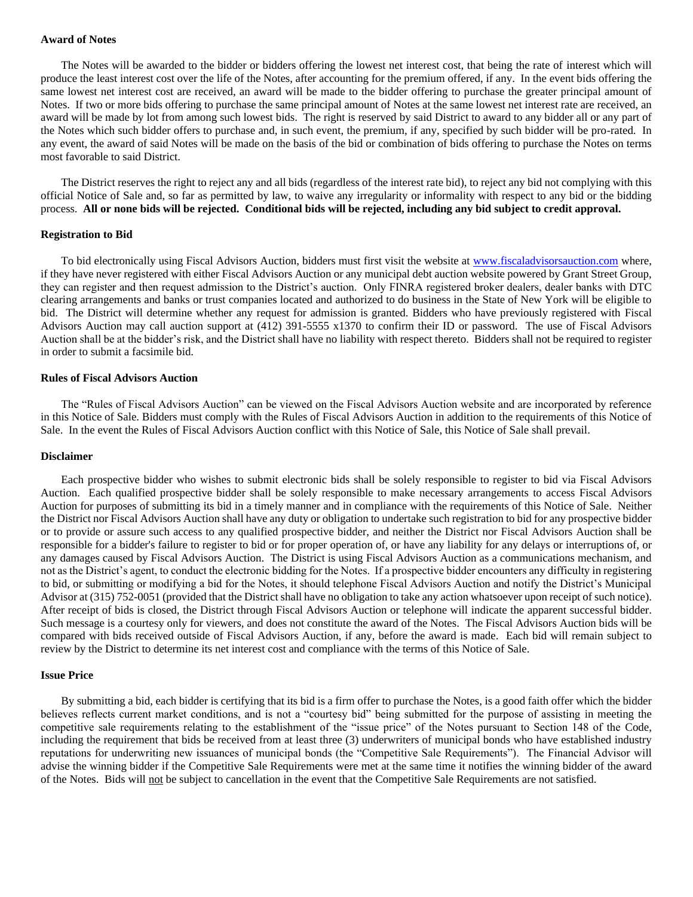## **Award of Notes**

The Notes will be awarded to the bidder or bidders offering the lowest net interest cost, that being the rate of interest which will produce the least interest cost over the life of the Notes, after accounting for the premium offered, if any. In the event bids offering the same lowest net interest cost are received, an award will be made to the bidder offering to purchase the greater principal amount of Notes. If two or more bids offering to purchase the same principal amount of Notes at the same lowest net interest rate are received, an award will be made by lot from among such lowest bids. The right is reserved by said District to award to any bidder all or any part of the Notes which such bidder offers to purchase and, in such event, the premium, if any, specified by such bidder will be pro-rated. In any event, the award of said Notes will be made on the basis of the bid or combination of bids offering to purchase the Notes on terms most favorable to said District.

The District reserves the right to reject any and all bids (regardless of the interest rate bid), to reject any bid not complying with this official Notice of Sale and, so far as permitted by law, to waive any irregularity or informality with respect to any bid or the bidding process. **All or none bids will be rejected. Conditional bids will be rejected, including any bid subject to credit approval.**

### **Registration to Bid**

To bid electronically using Fiscal Advisors Auction, bidders must first visit the website at [www.fiscaladvisorsauction.com](http://www.fiscaladvisorsauction.com/) where, if they have never registered with either Fiscal Advisors Auction or any municipal debt auction website powered by Grant Street Group, they can register and then request admission to the District's auction. Only FINRA registered broker dealers, dealer banks with DTC clearing arrangements and banks or trust companies located and authorized to do business in the State of New York will be eligible to bid. The District will determine whether any request for admission is granted. Bidders who have previously registered with Fiscal Advisors Auction may call auction support at (412) 391-5555 x1370 to confirm their ID or password. The use of Fiscal Advisors Auction shall be at the bidder's risk, and the District shall have no liability with respect thereto. Bidders shall not be required to register in order to submit a facsimile bid.

### **Rules of Fiscal Advisors Auction**

The "Rules of Fiscal Advisors Auction" can be viewed on the Fiscal Advisors Auction website and are incorporated by reference in this Notice of Sale. Bidders must comply with the Rules of Fiscal Advisors Auction in addition to the requirements of this Notice of Sale. In the event the Rules of Fiscal Advisors Auction conflict with this Notice of Sale, this Notice of Sale shall prevail.

### **Disclaimer**

Each prospective bidder who wishes to submit electronic bids shall be solely responsible to register to bid via Fiscal Advisors Auction. Each qualified prospective bidder shall be solely responsible to make necessary arrangements to access Fiscal Advisors Auction for purposes of submitting its bid in a timely manner and in compliance with the requirements of this Notice of Sale. Neither the District nor Fiscal Advisors Auction shall have any duty or obligation to undertake such registration to bid for any prospective bidder or to provide or assure such access to any qualified prospective bidder, and neither the District nor Fiscal Advisors Auction shall be responsible for a bidder's failure to register to bid or for proper operation of, or have any liability for any delays or interruptions of, or any damages caused by Fiscal Advisors Auction. The District is using Fiscal Advisors Auction as a communications mechanism, and not as the District's agent, to conduct the electronic bidding for the Notes. If a prospective bidder encounters any difficulty in registering to bid, or submitting or modifying a bid for the Notes, it should telephone Fiscal Advisors Auction and notify the District's Municipal Advisor at (315) 752-0051 (provided that the District shall have no obligation to take any action whatsoever upon receipt of such notice). After receipt of bids is closed, the District through Fiscal Advisors Auction or telephone will indicate the apparent successful bidder. Such message is a courtesy only for viewers, and does not constitute the award of the Notes. The Fiscal Advisors Auction bids will be compared with bids received outside of Fiscal Advisors Auction, if any, before the award is made. Each bid will remain subject to review by the District to determine its net interest cost and compliance with the terms of this Notice of Sale.

### **Issue Price**

By submitting a bid, each bidder is certifying that its bid is a firm offer to purchase the Notes, is a good faith offer which the bidder believes reflects current market conditions, and is not a "courtesy bid" being submitted for the purpose of assisting in meeting the competitive sale requirements relating to the establishment of the "issue price" of the Notes pursuant to Section 148 of the Code, including the requirement that bids be received from at least three (3) underwriters of municipal bonds who have established industry reputations for underwriting new issuances of municipal bonds (the "Competitive Sale Requirements"). The Financial Advisor will advise the winning bidder if the Competitive Sale Requirements were met at the same time it notifies the winning bidder of the award of the Notes. Bids will not be subject to cancellation in the event that the Competitive Sale Requirements are not satisfied.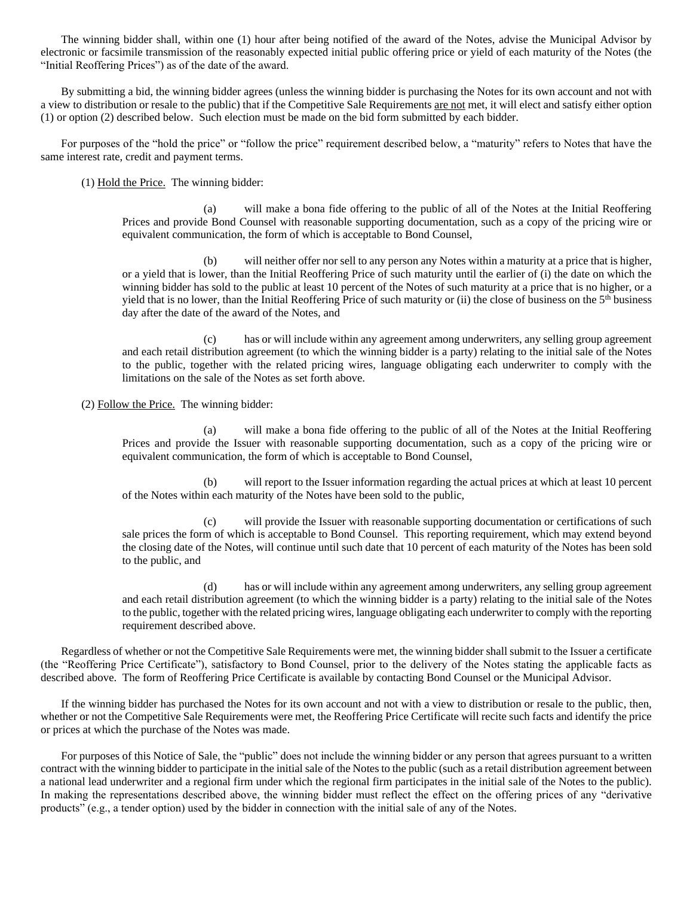The winning bidder shall, within one (1) hour after being notified of the award of the Notes, advise the Municipal Advisor by electronic or facsimile transmission of the reasonably expected initial public offering price or yield of each maturity of the Notes (the "Initial Reoffering Prices") as of the date of the award.

By submitting a bid, the winning bidder agrees (unless the winning bidder is purchasing the Notes for its own account and not with a view to distribution or resale to the public) that if the Competitive Sale Requirements are not met, it will elect and satisfy either option (1) or option (2) described below. Such election must be made on the bid form submitted by each bidder.

For purposes of the "hold the price" or "follow the price" requirement described below, a "maturity" refers to Notes that have the same interest rate, credit and payment terms.

(1) Hold the Price. The winning bidder:

(a) will make a bona fide offering to the public of all of the Notes at the Initial Reoffering Prices and provide Bond Counsel with reasonable supporting documentation, such as a copy of the pricing wire or equivalent communication, the form of which is acceptable to Bond Counsel,

(b) will neither offer nor sell to any person any Notes within a maturity at a price that is higher, or a yield that is lower, than the Initial Reoffering Price of such maturity until the earlier of (i) the date on which the winning bidder has sold to the public at least 10 percent of the Notes of such maturity at a price that is no higher, or a yield that is no lower, than the Initial Reoffering Price of such maturity or (ii) the close of business on the  $5<sup>th</sup>$  business day after the date of the award of the Notes, and

(c) has or will include within any agreement among underwriters, any selling group agreement and each retail distribution agreement (to which the winning bidder is a party) relating to the initial sale of the Notes to the public, together with the related pricing wires, language obligating each underwriter to comply with the limitations on the sale of the Notes as set forth above.

(2) Follow the Price. The winning bidder:

(a) will make a bona fide offering to the public of all of the Notes at the Initial Reoffering Prices and provide the Issuer with reasonable supporting documentation, such as a copy of the pricing wire or equivalent communication, the form of which is acceptable to Bond Counsel,

(b) will report to the Issuer information regarding the actual prices at which at least 10 percent of the Notes within each maturity of the Notes have been sold to the public,

(c) will provide the Issuer with reasonable supporting documentation or certifications of such sale prices the form of which is acceptable to Bond Counsel. This reporting requirement, which may extend beyond the closing date of the Notes, will continue until such date that 10 percent of each maturity of the Notes has been sold to the public, and

(d) has or will include within any agreement among underwriters, any selling group agreement and each retail distribution agreement (to which the winning bidder is a party) relating to the initial sale of the Notes to the public, together with the related pricing wires, language obligating each underwriter to comply with the reporting requirement described above.

Regardless of whether or not the Competitive Sale Requirements were met, the winning bidder shall submit to the Issuer a certificate (the "Reoffering Price Certificate"), satisfactory to Bond Counsel, prior to the delivery of the Notes stating the applicable facts as described above. The form of Reoffering Price Certificate is available by contacting Bond Counsel or the Municipal Advisor.

If the winning bidder has purchased the Notes for its own account and not with a view to distribution or resale to the public, then, whether or not the Competitive Sale Requirements were met, the Reoffering Price Certificate will recite such facts and identify the price or prices at which the purchase of the Notes was made.

For purposes of this Notice of Sale, the "public" does not include the winning bidder or any person that agrees pursuant to a written contract with the winning bidder to participate in the initial sale of the Notes to the public (such as a retail distribution agreement between a national lead underwriter and a regional firm under which the regional firm participates in the initial sale of the Notes to the public). In making the representations described above, the winning bidder must reflect the effect on the offering prices of any "derivative products" (e.g., a tender option) used by the bidder in connection with the initial sale of any of the Notes.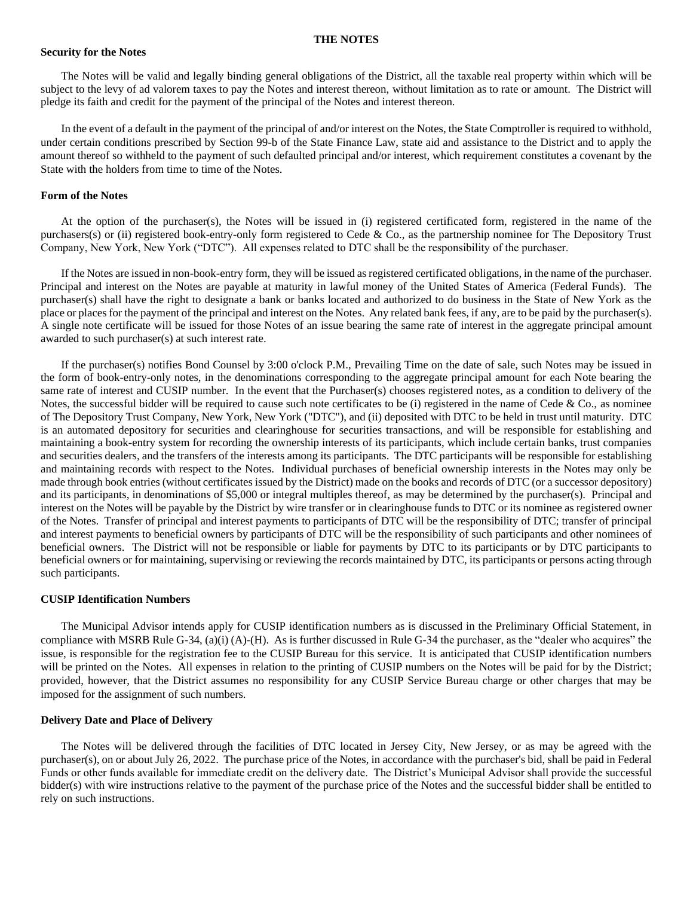#### **THE NOTES**

## **Security for the Notes**

The Notes will be valid and legally binding general obligations of the District, all the taxable real property within which will be subject to the levy of ad valorem taxes to pay the Notes and interest thereon, without limitation as to rate or amount. The District will pledge its faith and credit for the payment of the principal of the Notes and interest thereon.

In the event of a default in the payment of the principal of and/or interest on the Notes, the State Comptroller is required to withhold, under certain conditions prescribed by Section 99-b of the State Finance Law, state aid and assistance to the District and to apply the amount thereof so withheld to the payment of such defaulted principal and/or interest, which requirement constitutes a covenant by the State with the holders from time to time of the Notes.

#### **Form of the Notes**

At the option of the purchaser(s), the Notes will be issued in (i) registered certificated form, registered in the name of the purchasers(s) or (ii) registered book-entry-only form registered to Cede & Co., as the partnership nominee for The Depository Trust Company, New York, New York ("DTC"). All expenses related to DTC shall be the responsibility of the purchaser.

If the Notes are issued in non-book-entry form, they will be issued as registered certificated obligations, in the name of the purchaser. Principal and interest on the Notes are payable at maturity in lawful money of the United States of America (Federal Funds). The purchaser(s) shall have the right to designate a bank or banks located and authorized to do business in the State of New York as the place or places for the payment of the principal and interest on the Notes. Any related bank fees, if any, are to be paid by the purchaser(s). A single note certificate will be issued for those Notes of an issue bearing the same rate of interest in the aggregate principal amount awarded to such purchaser(s) at such interest rate.

If the purchaser(s) notifies Bond Counsel by 3:00 o'clock P.M., Prevailing Time on the date of sale, such Notes may be issued in the form of book-entry-only notes, in the denominations corresponding to the aggregate principal amount for each Note bearing the same rate of interest and CUSIP number. In the event that the Purchaser(s) chooses registered notes, as a condition to delivery of the Notes, the successful bidder will be required to cause such note certificates to be (i) registered in the name of Cede  $\&$  Co., as nominee of The Depository Trust Company, New York, New York ("DTC"), and (ii) deposited with DTC to be held in trust until maturity. DTC is an automated depository for securities and clearinghouse for securities transactions, and will be responsible for establishing and maintaining a book-entry system for recording the ownership interests of its participants, which include certain banks, trust companies and securities dealers, and the transfers of the interests among its participants. The DTC participants will be responsible for establishing and maintaining records with respect to the Notes. Individual purchases of beneficial ownership interests in the Notes may only be made through book entries (without certificates issued by the District) made on the books and records of DTC (or a successor depository) and its participants, in denominations of \$5,000 or integral multiples thereof, as may be determined by the purchaser(s). Principal and interest on the Notes will be payable by the District by wire transfer or in clearinghouse funds to DTC or its nominee as registered owner of the Notes. Transfer of principal and interest payments to participants of DTC will be the responsibility of DTC; transfer of principal and interest payments to beneficial owners by participants of DTC will be the responsibility of such participants and other nominees of beneficial owners. The District will not be responsible or liable for payments by DTC to its participants or by DTC participants to beneficial owners or for maintaining, supervising or reviewing the records maintained by DTC, its participants or persons acting through such participants.

# **CUSIP Identification Numbers**

The Municipal Advisor intends apply for CUSIP identification numbers as is discussed in the Preliminary Official Statement, in compliance with MSRB Rule G-34, (a)(i) (A)-(H). As is further discussed in Rule G-34 the purchaser, as the "dealer who acquires" the issue, is responsible for the registration fee to the CUSIP Bureau for this service. It is anticipated that CUSIP identification numbers will be printed on the Notes. All expenses in relation to the printing of CUSIP numbers on the Notes will be paid for by the District; provided, however, that the District assumes no responsibility for any CUSIP Service Bureau charge or other charges that may be imposed for the assignment of such numbers.

#### **Delivery Date and Place of Delivery**

The Notes will be delivered through the facilities of DTC located in Jersey City, New Jersey, or as may be agreed with the purchaser(s), on or about July 26, 2022. The purchase price of the Notes, in accordance with the purchaser's bid, shall be paid in Federal Funds or other funds available for immediate credit on the delivery date. The District's Municipal Advisor shall provide the successful bidder(s) with wire instructions relative to the payment of the purchase price of the Notes and the successful bidder shall be entitled to rely on such instructions.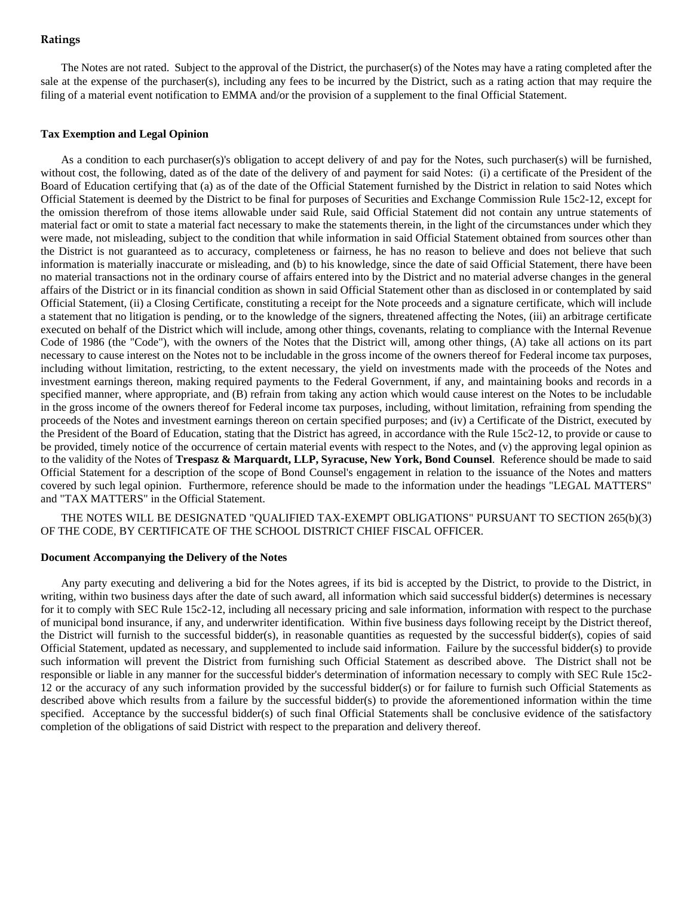# **Ratings**

The Notes are not rated. Subject to the approval of the District, the purchaser(s) of the Notes may have a rating completed after the sale at the expense of the purchaser(s), including any fees to be incurred by the District, such as a rating action that may require the filing of a material event notification to EMMA and/or the provision of a supplement to the final Official Statement.

#### **Tax Exemption and Legal Opinion**

As a condition to each purchaser(s)'s obligation to accept delivery of and pay for the Notes, such purchaser(s) will be furnished, without cost, the following, dated as of the date of the delivery of and payment for said Notes: (i) a certificate of the President of the Board of Education certifying that (a) as of the date of the Official Statement furnished by the District in relation to said Notes which Official Statement is deemed by the District to be final for purposes of Securities and Exchange Commission Rule 15c2-12, except for the omission therefrom of those items allowable under said Rule, said Official Statement did not contain any untrue statements of material fact or omit to state a material fact necessary to make the statements therein, in the light of the circumstances under which they were made, not misleading, subject to the condition that while information in said Official Statement obtained from sources other than the District is not guaranteed as to accuracy, completeness or fairness, he has no reason to believe and does not believe that such information is materially inaccurate or misleading, and (b) to his knowledge, since the date of said Official Statement, there have been no material transactions not in the ordinary course of affairs entered into by the District and no material adverse changes in the general affairs of the District or in its financial condition as shown in said Official Statement other than as disclosed in or contemplated by said Official Statement, (ii) a Closing Certificate, constituting a receipt for the Note proceeds and a signature certificate, which will include a statement that no litigation is pending, or to the knowledge of the signers, threatened affecting the Notes, (iii) an arbitrage certificate executed on behalf of the District which will include, among other things, covenants, relating to compliance with the Internal Revenue Code of 1986 (the "Code"), with the owners of the Notes that the District will, among other things, (A) take all actions on its part necessary to cause interest on the Notes not to be includable in the gross income of the owners thereof for Federal income tax purposes, including without limitation, restricting, to the extent necessary, the yield on investments made with the proceeds of the Notes and investment earnings thereon, making required payments to the Federal Government, if any, and maintaining books and records in a specified manner, where appropriate, and (B) refrain from taking any action which would cause interest on the Notes to be includable in the gross income of the owners thereof for Federal income tax purposes, including, without limitation, refraining from spending the proceeds of the Notes and investment earnings thereon on certain specified purposes; and (iv) a Certificate of the District, executed by the President of the Board of Education, stating that the District has agreed, in accordance with the Rule 15c2-12, to provide or cause to be provided, timely notice of the occurrence of certain material events with respect to the Notes, and (v) the approving legal opinion as to the validity of the Notes of **Trespasz & Marquardt, LLP, Syracuse, New York, Bond Counsel**. Reference should be made to said Official Statement for a description of the scope of Bond Counsel's engagement in relation to the issuance of the Notes and matters covered by such legal opinion. Furthermore, reference should be made to the information under the headings "LEGAL MATTERS" and "TAX MATTERS" in the Official Statement.

THE NOTES WILL BE DESIGNATED "QUALIFIED TAX-EXEMPT OBLIGATIONS" PURSUANT TO SECTION 265(b)(3) OF THE CODE, BY CERTIFICATE OF THE SCHOOL DISTRICT CHIEF FISCAL OFFICER.

# **Document Accompanying the Delivery of the Notes**

Any party executing and delivering a bid for the Notes agrees, if its bid is accepted by the District, to provide to the District, in writing, within two business days after the date of such award, all information which said successful bidder(s) determines is necessary for it to comply with SEC Rule 15c2-12, including all necessary pricing and sale information, information with respect to the purchase of municipal bond insurance, if any, and underwriter identification. Within five business days following receipt by the District thereof, the District will furnish to the successful bidder(s), in reasonable quantities as requested by the successful bidder(s), copies of said Official Statement, updated as necessary, and supplemented to include said information. Failure by the successful bidder(s) to provide such information will prevent the District from furnishing such Official Statement as described above. The District shall not be responsible or liable in any manner for the successful bidder's determination of information necessary to comply with SEC Rule 15c2- 12 or the accuracy of any such information provided by the successful bidder(s) or for failure to furnish such Official Statements as described above which results from a failure by the successful bidder(s) to provide the aforementioned information within the time specified. Acceptance by the successful bidder(s) of such final Official Statements shall be conclusive evidence of the satisfactory completion of the obligations of said District with respect to the preparation and delivery thereof.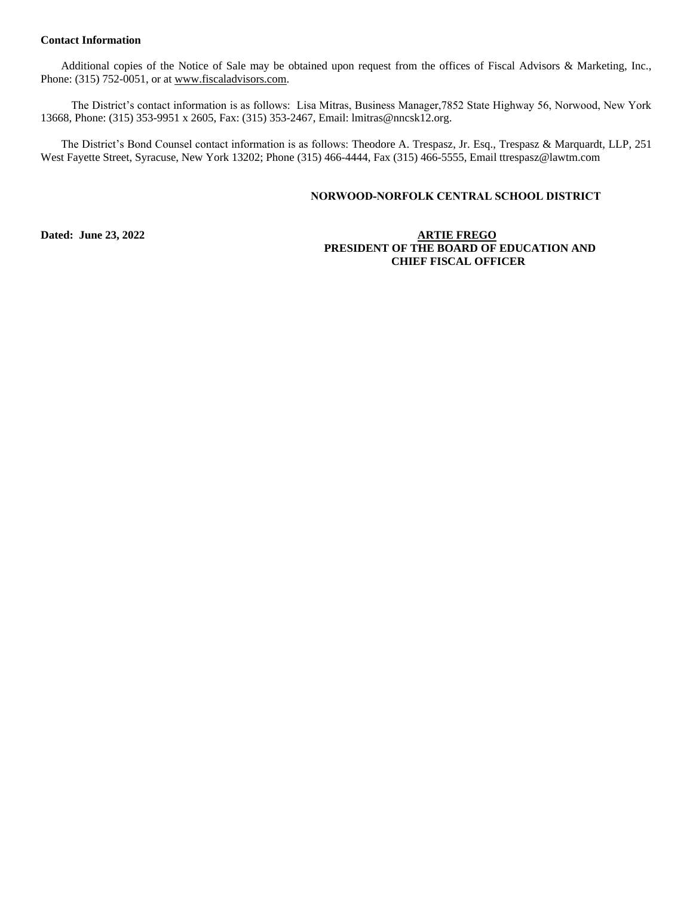# **Contact Information**

Additional copies of the Notice of Sale may be obtained upon request from the offices of Fiscal Advisors & Marketing, Inc., Phone: (315) 752-0051, or at [www.fiscaladvisors.com.](file://///app03/pub/Official%20Statements/Schools%20P-Z/www.fiscaladvisors.com)

The District's contact information is as follows: Lisa Mitras, Business Manager,7852 State Highway 56, Norwood, New York 13668, Phone: (315) 353-9951 x 2605, Fax: (315) 353-2467, Email[: lmitras@nncsk12.org.](mailto:lmitras@nncsk12.org)

The District's Bond Counsel contact information is as follows: Theodore A. Trespasz, Jr. Esq., Trespasz & Marquardt, LLP, 251 West Fayette Street, Syracuse, New York 13202; Phone (315) 466-4444, Fax (315) 466-5555, Email ttrespasz@lawtm.com

# **NORWOOD-NORFOLK CENTRAL SCHOOL DISTRICT**

# **Dated: June 23, 2022 ARTIE FREGO PRESIDENT OF THE BOARD OF EDUCATION AND CHIEF FISCAL OFFICER**